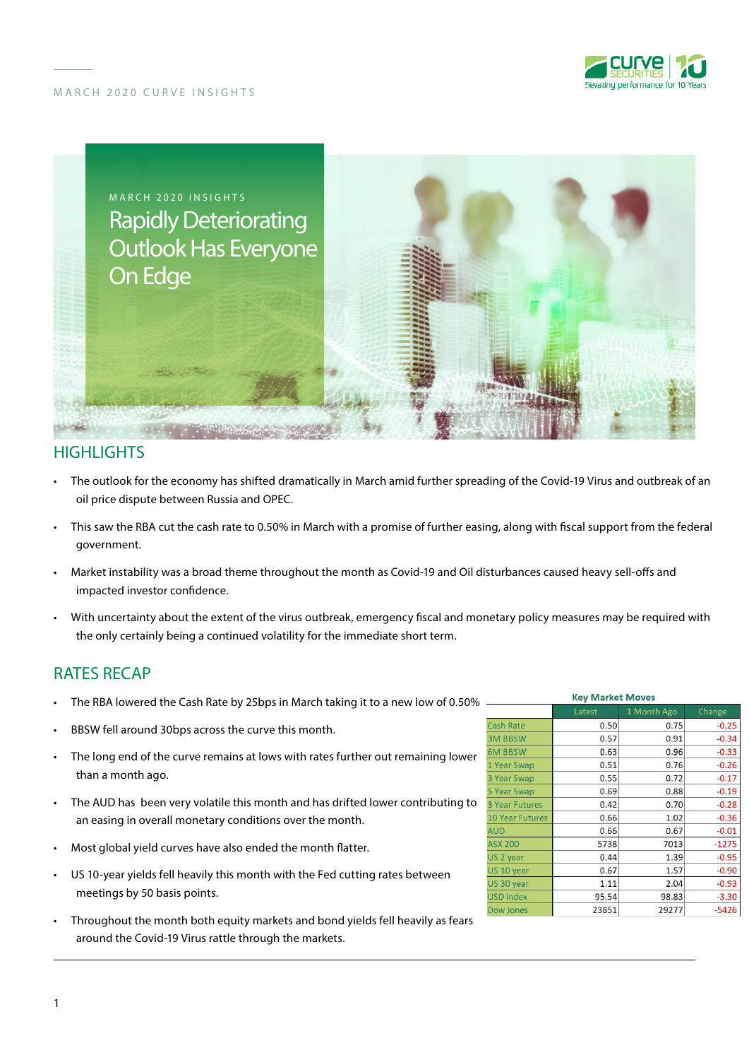





## **HIGHLIGHTS**

- The outlook for the economy has shifted dramatically in March amid further spreading of the Covid-19 Virus and outbreak of an oil price dispute between Russia and OPEC.
- This saw the RBA cut the cash rate to 0.50% in March with a promise of further easing, along with fiscal support from the federal government.
- Market instability was a broad theme throughout the month as Covid-19 and Oil disturbances caused heavy sell-offs and impacted investor confidence.
- With uncertainty about the extent of the virus outbreak, emergency fiscal and monetary policy measures may be required with the only certainly being a continued volatility for the immediate short term.

# RATES RECAP

- The RBA lowered the Cash Rate by 25bps in March taking it to a new low of 0.50%
- BBSW fell around 30bps across the curve this month.
- The long end of the curve remains at lows with rates further out remaining lower than a month ago.
- The AUD has been very volatile this month and has drifted lower contributing to an easing in overall monetary conditions over the month.
- Most global yield curves have also ended the month flatter.
- US 10-year yields fell heavily this month with the Fed cutting rates between meetings by 50 basis points.
- Throughout the month both equity markets and bond yields fell heavily as fears around the Covid-19 Virus rattle through the markets.

| <b>Key Market Moves</b> |        |             |         |
|-------------------------|--------|-------------|---------|
|                         | Latest | 1 Month Ago | Change  |
| <b>Cash Rate</b>        | 0.50   | 0.75        | $-0.25$ |
| <b>3M BBSW</b>          | 0.57   | 0.91        | $-0.34$ |
| <b>6M BBSW</b>          | 0.63   | 0.96        | $-0.33$ |
| 1 Year Swap             | 0.51   | 0.76        | $-0.26$ |
| 3 Year Swap             | 0.55   | 0.72        | $-0.17$ |
| 5 Year Swap             | 0.69   | 0.88        | $-0.19$ |
| <b>3 Year Futures</b>   | 0.42   | 0.70        | $-0.28$ |
| <b>10 Year Futures</b>  | 0.66   | 1.02        | $-0.36$ |
| <b>AUD</b>              | 0.66   | 0.67        | $-0.01$ |
| <b>ASX 200</b>          | 5738   | 7013        | $-1275$ |
| US <sub>2</sub> year    | 0.44   | 1.39        | $-0.95$ |
| US 10 year              | 0.67   | 1.57        | $-0.90$ |
| US 30 year              | 1.11   | 2.04        | $-0.93$ |
| <b>USD Index</b>        | 95.54  | 98.83       | $-3.30$ |
| Dow Jones               | 23851  | 29277       | $-5426$ |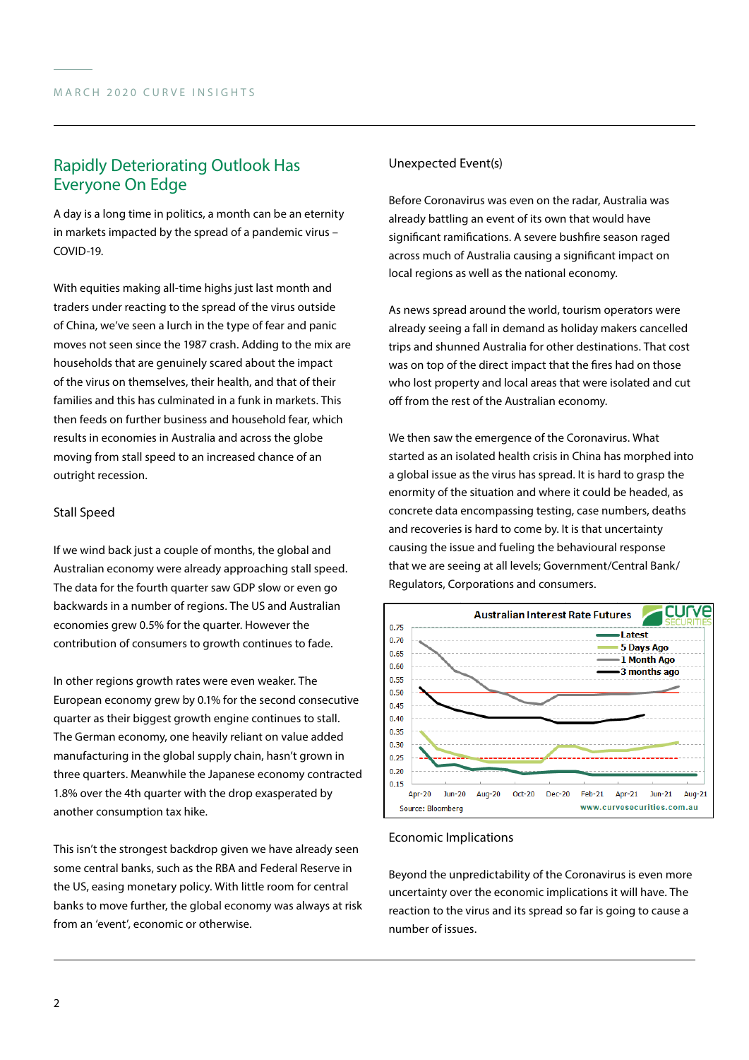# Rapidly Deteriorating Outlook Has Everyone On Edge

A day is a long time in politics, a month can be an eternity in markets impacted by the spread of a pandemic virus – COVID-19.

With equities making all-time highs just last month and traders under reacting to the spread of the virus outside of China, we've seen a lurch in the type of fear and panic moves not seen since the 1987 crash. Adding to the mix are households that are genuinely scared about the impact of the virus on themselves, their health, and that of their families and this has culminated in a funk in markets. This then feeds on further business and household fear, which results in economies in Australia and across the globe moving from stall speed to an increased chance of an outright recession.

### Stall Speed

If we wind back just a couple of months, the global and Australian economy were already approaching stall speed. The data for the fourth quarter saw GDP slow or even go backwards in a number of regions. The US and Australian economies grew 0.5% for the quarter. However the contribution of consumers to growth continues to fade.

In other regions growth rates were even weaker. The European economy grew by 0.1% for the second consecutive quarter as their biggest growth engine continues to stall. The German economy, one heavily reliant on value added manufacturing in the global supply chain, hasn't grown in three quarters. Meanwhile the Japanese economy contracted 1.8% over the 4th quarter with the drop exasperated by another consumption tax hike.

This isn't the strongest backdrop given we have already seen some central banks, such as the RBA and Federal Reserve in the US, easing monetary policy. With little room for central banks to move further, the global economy was always at risk from an 'event', economic or otherwise.

### Unexpected Event(s)

Before Coronavirus was even on the radar, Australia was already battling an event of its own that would have significant ramifications. A severe bushfire season raged across much of Australia causing a significant impact on local regions as well as the national economy.

As news spread around the world, tourism operators were already seeing a fall in demand as holiday makers cancelled trips and shunned Australia for other destinations. That cost was on top of the direct impact that the fires had on those who lost property and local areas that were isolated and cut off from the rest of the Australian economy.

We then saw the emergence of the Coronavirus. What started as an isolated health crisis in China has morphed into a global issue as the virus has spread. It is hard to grasp the enormity of the situation and where it could be headed, as concrete data encompassing testing, case numbers, deaths and recoveries is hard to come by. It is that uncertainty causing the issue and fueling the behavioural response that we are seeing at all levels; Government/Central Bank/ Regulators, Corporations and consumers.



### Economic Implications

Beyond the unpredictability of the Coronavirus is even more uncertainty over the economic implications it will have. The reaction to the virus and its spread so far is going to cause a number of issues.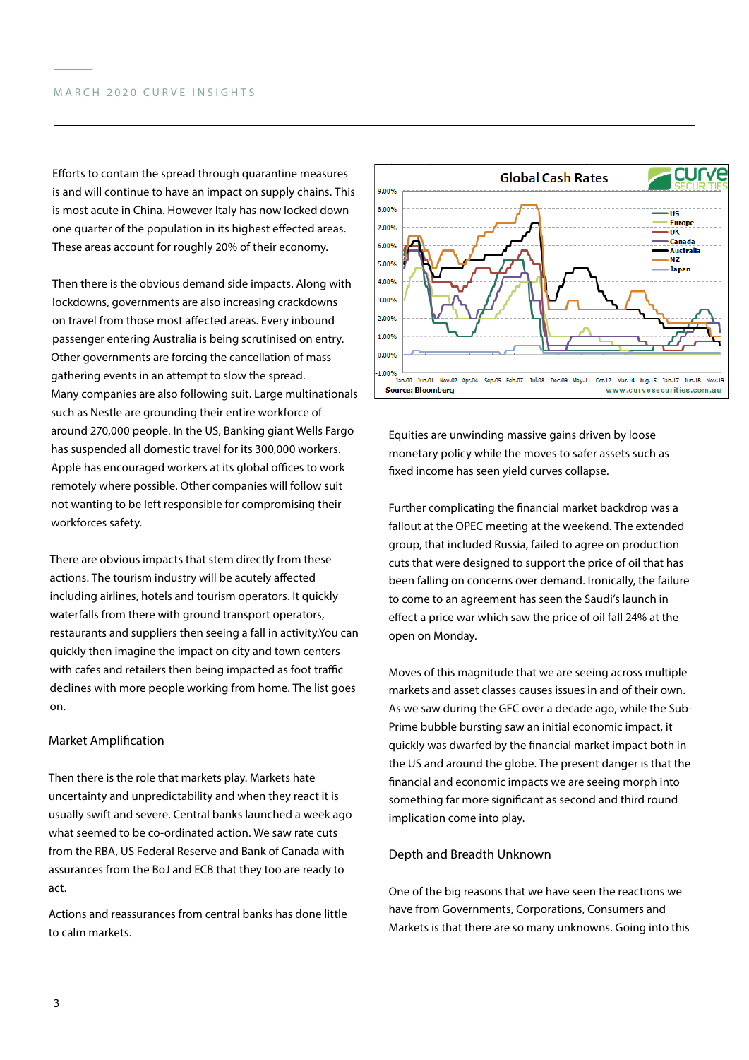Efforts to contain the spread through quarantine measures is and will continue to have an impact on supply chains. This is most acute in China. However Italy has now locked down one quarter of the population in its highest effected areas. These areas account for roughly 20% of their economy.

Then there is the obvious demand side impacts. Along with lockdowns, governments are also increasing crackdowns on travel from those most affected areas. Every inbound passenger entering Australia is being scrutinised on entry. Other governments are forcing the cancellation of mass gathering events in an attempt to slow the spread. Many companies are also following suit. Large multinationals such as Nestle are grounding their entire workforce of around 270,000 people. In the US, Banking giant Wells Fargo has suspended all domestic travel for its 300,000 workers. Apple has encouraged workers at its global offices to work remotely where possible. Other companies will follow suit not wanting to be left responsible for compromising their workforces safety.

There are obvious impacts that stem directly from these actions. The tourism industry will be acutely affected including airlines, hotels and tourism operators. It quickly waterfalls from there with ground transport operators, restaurants and suppliers then seeing a fall in activity.You can quickly then imagine the impact on city and town centers with cafes and retailers then being impacted as foot traffic declines with more people working from home. The list goes on.

#### Market Amplification

Then there is the role that markets play. Markets hate uncertainty and unpredictability and when they react it is usually swift and severe. Central banks launched a week ago what seemed to be co-ordinated action. We saw rate cuts from the RBA, US Federal Reserve and Bank of Canada with assurances from the BoJ and ECB that they too are ready to act.

Actions and reassurances from central banks has done little to calm markets.



Equities are unwinding massive gains driven by loose monetary policy while the moves to safer assets such as fixed income has seen yield curves collapse.

Further complicating the financial market backdrop was a fallout at the OPEC meeting at the weekend. The extended group, that included Russia, failed to agree on production cuts that were designed to support the price of oil that has been falling on concerns over demand. Ironically, the failure to come to an agreement has seen the Saudi's launch in effect a price war which saw the price of oil fall 24% at the open on Monday.

Moves of this magnitude that we are seeing across multiple markets and asset classes causes issues in and of their own. As we saw during the GFC over a decade ago, while the Sub-Prime bubble bursting saw an initial economic impact, it quickly was dwarfed by the financial market impact both in the US and around the globe. The present danger is that the financial and economic impacts we are seeing morph into something far more significant as second and third round implication come into play.

#### Depth and Breadth Unknown

One of the big reasons that we have seen the reactions we have from Governments, Corporations, Consumers and Markets is that there are so many unknowns. Going into this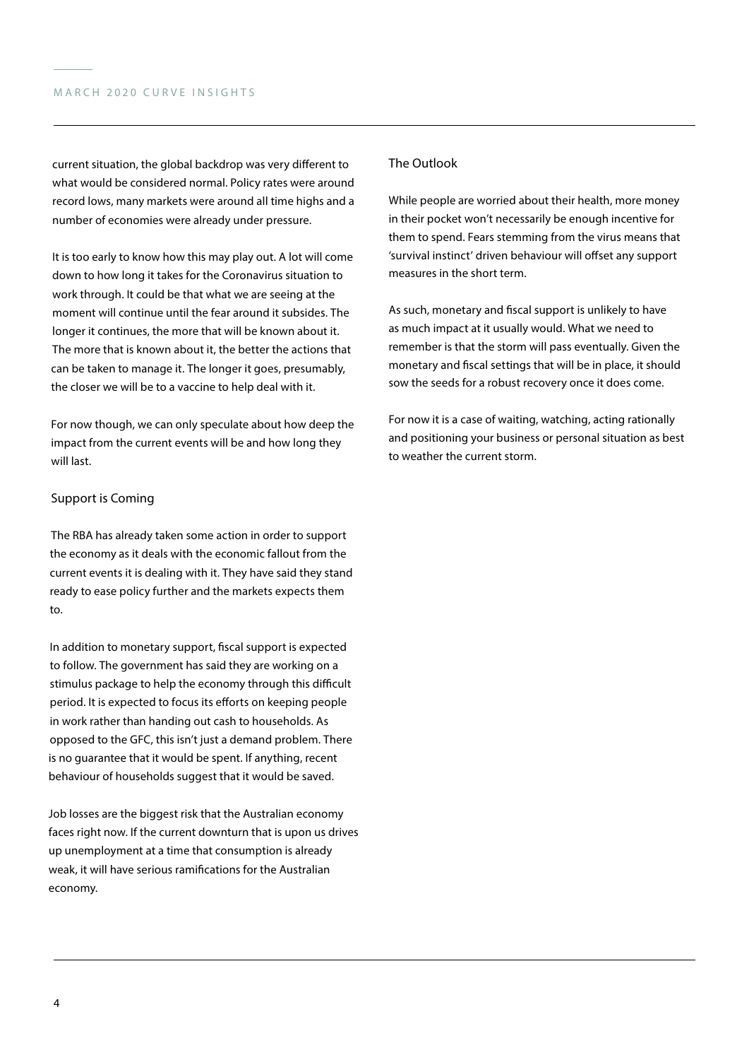current situation, the global backdrop was very different to what would be considered normal. Policy rates were around record lows, many markets were around all time highs and a number of economies were already under pressure.

It is too early to know how this may play out. A lot will come down to how long it takes for the Coronavirus situation to work through. It could be that what we are seeing at the moment will continue until the fear around it subsides. The longer it continues, the more that will be known about it. The more that is known about it, the better the actions that can be taken to manage it. The longer it goes, presumably, the closer we will be to a vaccine to help deal with it.

For now though, we can only speculate about how deep the impact from the current events will be and how long they will last.

### Support is Coming

The RBA has already taken some action in order to support the economy as it deals with the economic fallout from the current events it is dealing with it. They have said they stand ready to ease policy further and the markets expects them to.

In addition to monetary support, fiscal support is expected to follow. The government has said they are working on a stimulus package to help the economy through this difficult period. It is expected to focus its efforts on keeping people in work rather than handing out cash to households. As opposed to the GFC, this isn't just a demand problem. There is no guarantee that it would be spent. If anything, recent behaviour of households suggest that it would be saved.

Job losses are the biggest risk that the Australian economy faces right now. If the current downturn that is upon us drives up unemployment at a time that consumption is already weak, it will have serious ramifications for the Australian economy.

### The Outlook

While people are worried about their health, more money in their pocket won't necessarily be enough incentive for them to spend. Fears stemming from the virus means that 'survival instinct' driven behaviour will offset any support measures in the short term.

As such, monetary and fiscal support is unlikely to have as much impact at it usually would. What we need to remember is that the storm will pass eventually. Given the monetary and fiscal settings that will be in place, it should sow the seeds for a robust recovery once it does come.

For now it is a case of waiting, watching, acting rationally and positioning your business or personal situation as best to weather the current storm.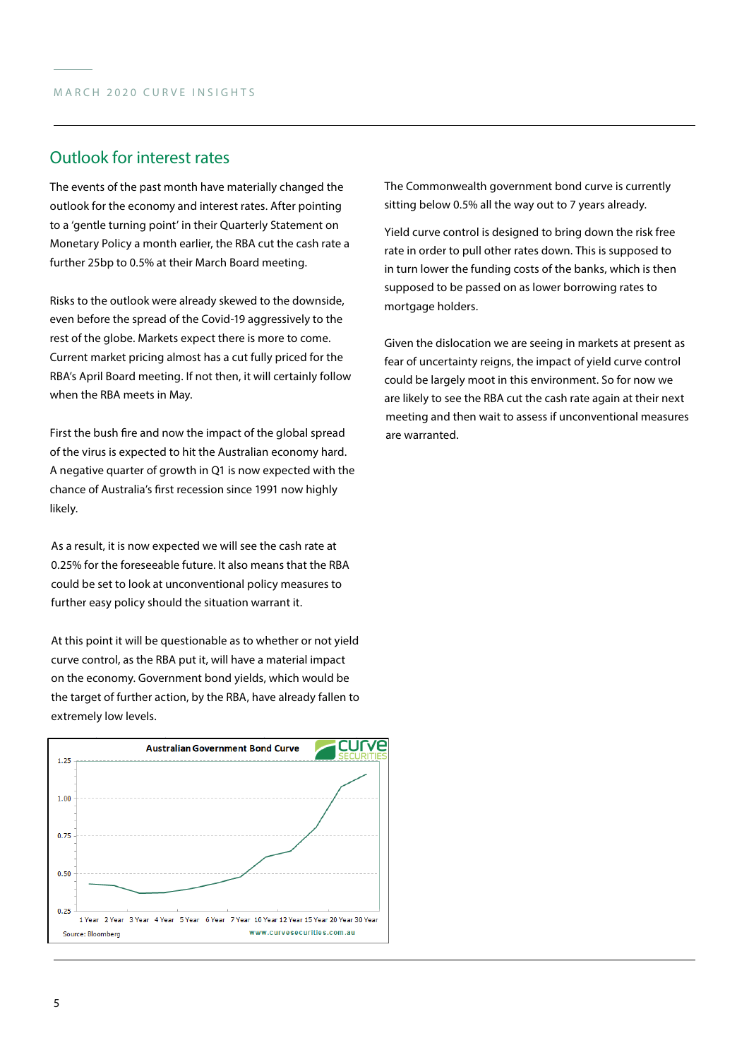# Outlook for interest rates

The events of the past month have materially changed the outlook for the economy and interest rates. After pointing to a 'gentle turning point' in their Quarterly Statement on Monetary Policy a month earlier, the RBA cut the cash rate a further 25bp to 0.5% at their March Board meeting.

Risks to the outlook were already skewed to the downside, even before the spread of the Covid-19 aggressively to the rest of the globe. Markets expect there is more to come. Current market pricing almost has a cut fully priced for the RBA's April Board meeting. If not then, it will certainly follow when the RBA meets in May.

First the bush fire and now the impact of the global spread of the virus is expected to hit the Australian economy hard. A negative quarter of growth in Q1 is now expected with the chance of Australia's first recession since 1991 now highly likely.

As a result, it is now expected we will see the cash rate at 0.25% for the foreseeable future. It also means that the RBA could be set to look at unconventional policy measures to further easy policy should the situation warrant it.

At this point it will be questionable as to whether or not yield curve control, as the RBA put it, will have a material impact on the economy. Government bond yields, which would be the target of further action, by the RBA, have already fallen to extremely low levels.



The Commonwealth government bond curve is currently sitting below 0.5% all the way out to 7 years already.

Yield curve control is designed to bring down the risk free rate in order to pull other rates down. This is supposed to in turn lower the funding costs of the banks, which is then supposed to be passed on as lower borrowing rates to mortgage holders.

Given the dislocation we are seeing in markets at present as fear of uncertainty reigns, the impact of yield curve control could be largely moot in this environment. So for now we are likely to see the RBA cut the cash rate again at their next meeting and then wait to assess if unconventional measures are warranted.